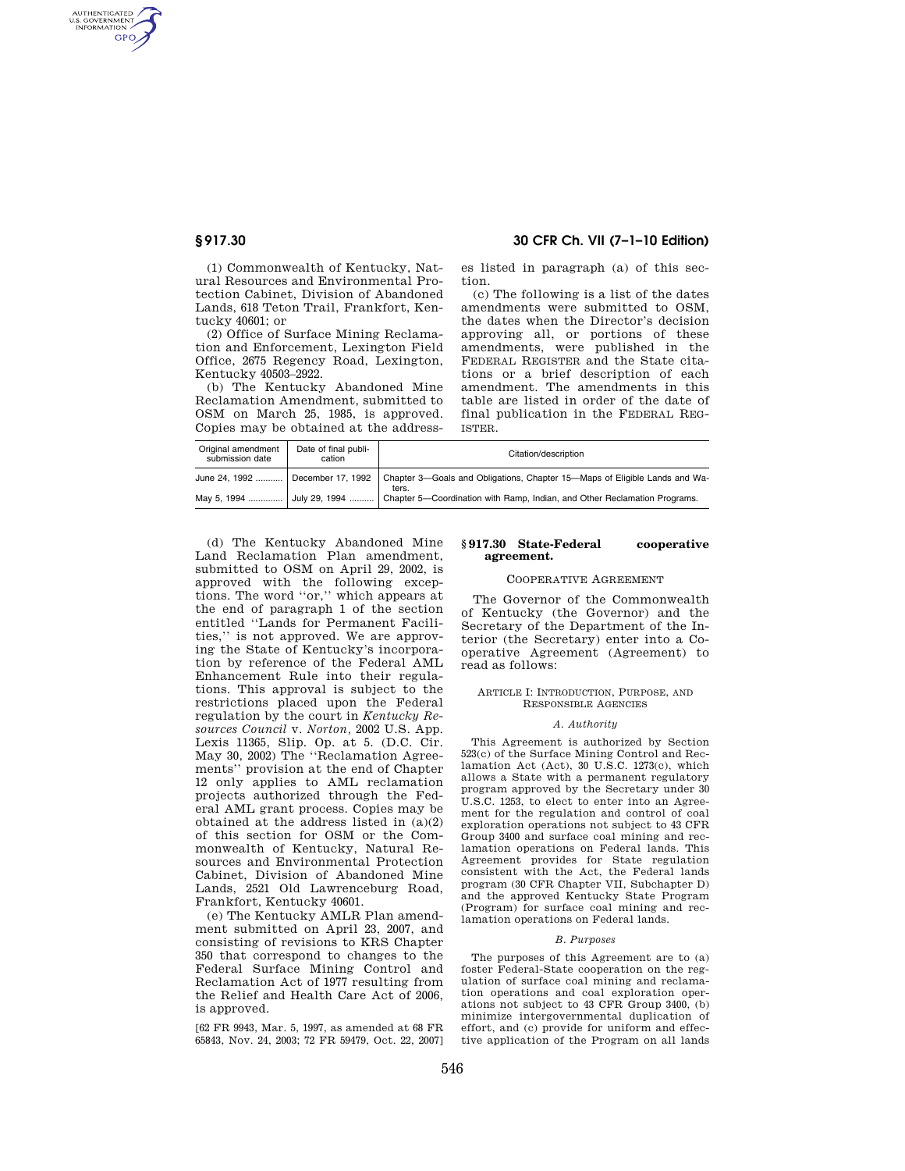AUTHENTICATED<br>U.S. GOVERNMENT<br>INFORMATION GPO

**§ 917.30 30 CFR Ch. VII (7–1–10 Edition)** 

(1) Commonwealth of Kentucky, Natural Resources and Environmental Protection Cabinet, Division of Abandoned Lands, 618 Teton Trail, Frankfort, Kentucky 40601; or

(2) Office of Surface Mining Reclamation and Enforcement, Lexington Field Office, 2675 Regency Road, Lexington, Kentucky 40503–2922.

(b) The Kentucky Abandoned Mine Reclamation Amendment, submitted to OSM on March 25, 1985, is approved. Copies may be obtained at the addresses listed in paragraph (a) of this section.

(c) The following is a list of the dates amendments were submitted to OSM, the dates when the Director's decision approving all, or portions of these amendments, were published in the FEDERAL REGISTER and the State citations or a brief description of each amendment. The amendments in this table are listed in order of the date of final publication in the FEDERAL REG-ISTER.

| Original amendment<br>submission date | Date of final publi-<br>cation | Citation/description                                                                                  |
|---------------------------------------|--------------------------------|-------------------------------------------------------------------------------------------------------|
| June 24, 1992                         | December 17, 1992              | Chapter 3—Goals and Obligations, Chapter 15—Maps of Eligible Lands and Wa-<br>ters.                   |
|                                       |                                | May 5, 1994  July 29, 1994  Chapter 5—Coordination with Ramp, Indian, and Other Reclamation Programs. |

(d) The Kentucky Abandoned Mine Land Reclamation Plan amendment, submitted to OSM on April 29, 2002, is approved with the following exceptions. The word ''or,'' which appears at the end of paragraph 1 of the section entitled ''Lands for Permanent Facilities,'' is not approved. We are approving the State of Kentucky's incorporation by reference of the Federal AML Enhancement Rule into their regulations. This approval is subject to the restrictions placed upon the Federal regulation by the court in *Kentucky Resources Council* v. *Norton,* 2002 U.S. App. Lexis 11365, Slip. Op. at 5. (D.C. Cir. May 30, 2002) The ''Reclamation Agreements'' provision at the end of Chapter 12 only applies to AML reclamation projects authorized through the Federal AML grant process. Copies may be obtained at the address listed in (a)(2) of this section for OSM or the Commonwealth of Kentucky, Natural Resources and Environmental Protection Cabinet, Division of Abandoned Mine Lands, 2521 Old Lawrenceburg Road, Frankfort, Kentucky 40601.

(e) The Kentucky AMLR Plan amendment submitted on April 23, 2007, and consisting of revisions to KRS Chapter 350 that correspond to changes to the Federal Surface Mining Control and Reclamation Act of 1977 resulting from the Relief and Health Care Act of 2006, is approved.

[62 FR 9943, Mar. 5, 1997, as amended at 68 FR 65843, Nov. 24, 2003; 72 FR 59479, Oct. 22, 2007]

## **§ 917.30 State-Federal cooperative agreement.**

#### COOPERATIVE AGREEMENT

The Governor of the Commonwealth of Kentucky (the Governor) and the Secretary of the Department of the Interior (the Secretary) enter into a Cooperative Agreement (Agreement) to read as follows:

#### ARTICLE I: INTRODUCTION, PURPOSE, AND RESPONSIBLE AGENCIES

### *A. Authority*

This Agreement is authorized by Section 523(c) of the Surface Mining Control and Reclamation Act (Act), 30 U.S.C. 1273(c), which allows a State with a permanent regulatory program approved by the Secretary under 30 U.S.C. 1253, to elect to enter into an Agreement for the regulation and control of coal exploration operations not subject to 43 CFR Group 3400 and surface coal mining and reclamation operations on Federal lands. This Agreement provides for State regulation consistent with the Act, the Federal lands program (30 CFR Chapter VII, Subchapter D) and the approved Kentucky State Program (Program) for surface coal mining and reclamation operations on Federal lands.

#### *B. Purposes*

The purposes of this Agreement are to (a) foster Federal-State cooperation on the regulation of surface coal mining and reclamation operations and coal exploration operations not subject to 43 CFR Group 3400, (b) minimize intergovernmental duplication of effort, and (c) provide for uniform and effective application of the Program on all lands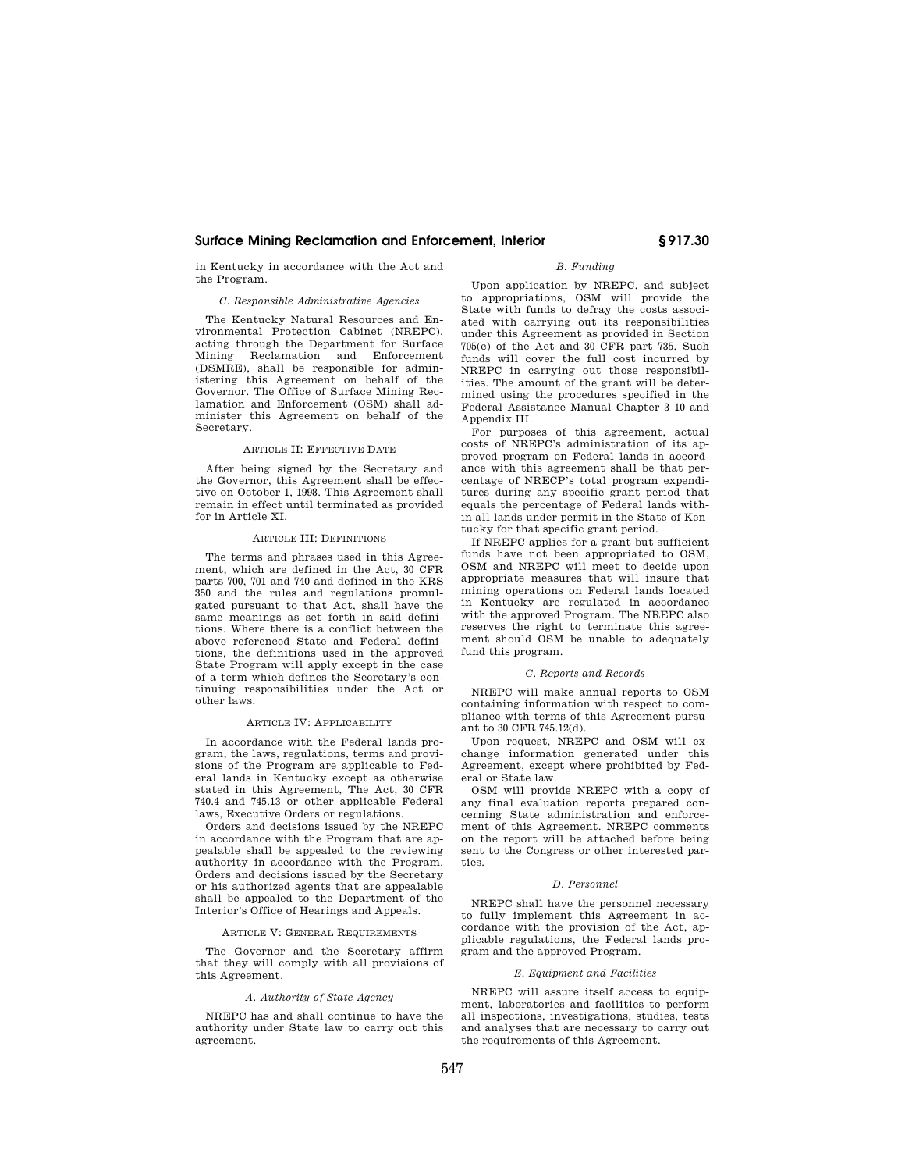## **Surface Mining Reclamation and Enforcement, Interior § 917.30**

in Kentucky in accordance with the Act and the Program.

## *C. Responsible Administrative Agencies*

The Kentucky Natural Resources and Environmental Protection Cabinet (NREPC), acting through the Department for Surface Mining Reclamation and Enforcement (DSMRE), shall be responsible for administering this Agreement on behalf of the Governor. The Office of Surface Mining Reclamation and Enforcement (OSM) shall administer this Agreement on behalf of the Secretary.

## ARTICLE II: EFFECTIVE DATE

After being signed by the Secretary and the Governor, this Agreement shall be effective on October 1, 1998. This Agreement shall remain in effect until terminated as provided for in Article XI.

## ARTICLE III: DEFINITIONS

The terms and phrases used in this Agreement, which are defined in the Act, 30 CFR parts 700, 701 and 740 and defined in the KRS 350 and the rules and regulations promulgated pursuant to that Act, shall have the same meanings as set forth in said definitions. Where there is a conflict between the above referenced State and Federal definitions, the definitions used in the approved State Program will apply except in the case of a term which defines the Secretary's continuing responsibilities under the Act or other laws.

## ARTICLE IV: APPLICABILITY

In accordance with the Federal lands program, the laws, regulations, terms and provisions of the Program are applicable to Federal lands in Kentucky except as otherwise stated in this Agreement, The Act, 30 CFR 740.4 and 745.13 or other applicable Federal laws, Executive Orders or regulations.

Orders and decisions issued by the NREPC in accordance with the Program that are appealable shall be appealed to the reviewing authority in accordance with the Program. Orders and decisions issued by the Secretary or his authorized agents that are appealable shall be appealed to the Department of the Interior's Office of Hearings and Appeals.

#### ARTICLE V: GENERAL REQUIREMENTS

The Governor and the Secretary affirm that they will comply with all provisions of this Agreement.

### *A. Authority of State Agency*

NREPC has and shall continue to have the authority under State law to carry out this agreement.

## *B. Funding*

Upon application by NREPC, and subject to appropriations, OSM will provide the State with funds to defray the costs associated with carrying out its responsibilities under this Agreement as provided in Section 705(c) of the Act and 30 CFR part 735. Such funds will cover the full cost incurred by NREPC in carrying out those responsibilities. The amount of the grant will be determined using the procedures specified in the Federal Assistance Manual Chapter 3–10 and Appendix III.

For purposes of this agreement, actual costs of NREPC's administration of its approved program on Federal lands in accordance with this agreement shall be that percentage of NRECP's total program expenditures during any specific grant period that equals the percentage of Federal lands within all lands under permit in the State of Kentucky for that specific grant period.

If NREPC applies for a grant but sufficient funds have not been appropriated to OSM, OSM and NREPC will meet to decide upon appropriate measures that will insure that mining operations on Federal lands located in Kentucky are regulated in accordance with the approved Program. The NREPC also reserves the right to terminate this agreement should OSM be unable to adequately fund this program.

#### *C. Reports and Records*

NREPC will make annual reports to OSM containing information with respect to compliance with terms of this Agreement pursuant to 30 CFR 745.12(d).

Upon request, NREPC and OSM will exchange information generated under this Agreement, except where prohibited by Federal or State law.

OSM will provide NREPC with a copy of any final evaluation reports prepared concerning State administration and enforcement of this Agreement. NREPC comments on the report will be attached before being sent to the Congress or other interested parties.

#### *D. Personnel*

NREPC shall have the personnel necessary to fully implement this Agreement in accordance with the provision of the Act, applicable regulations, the Federal lands program and the approved Program.

## *E. Equipment and Facilities*

NREPC will assure itself access to equipment, laboratories and facilities to perform all inspections, investigations, studies, tests and analyses that are necessary to carry out the requirements of this Agreement.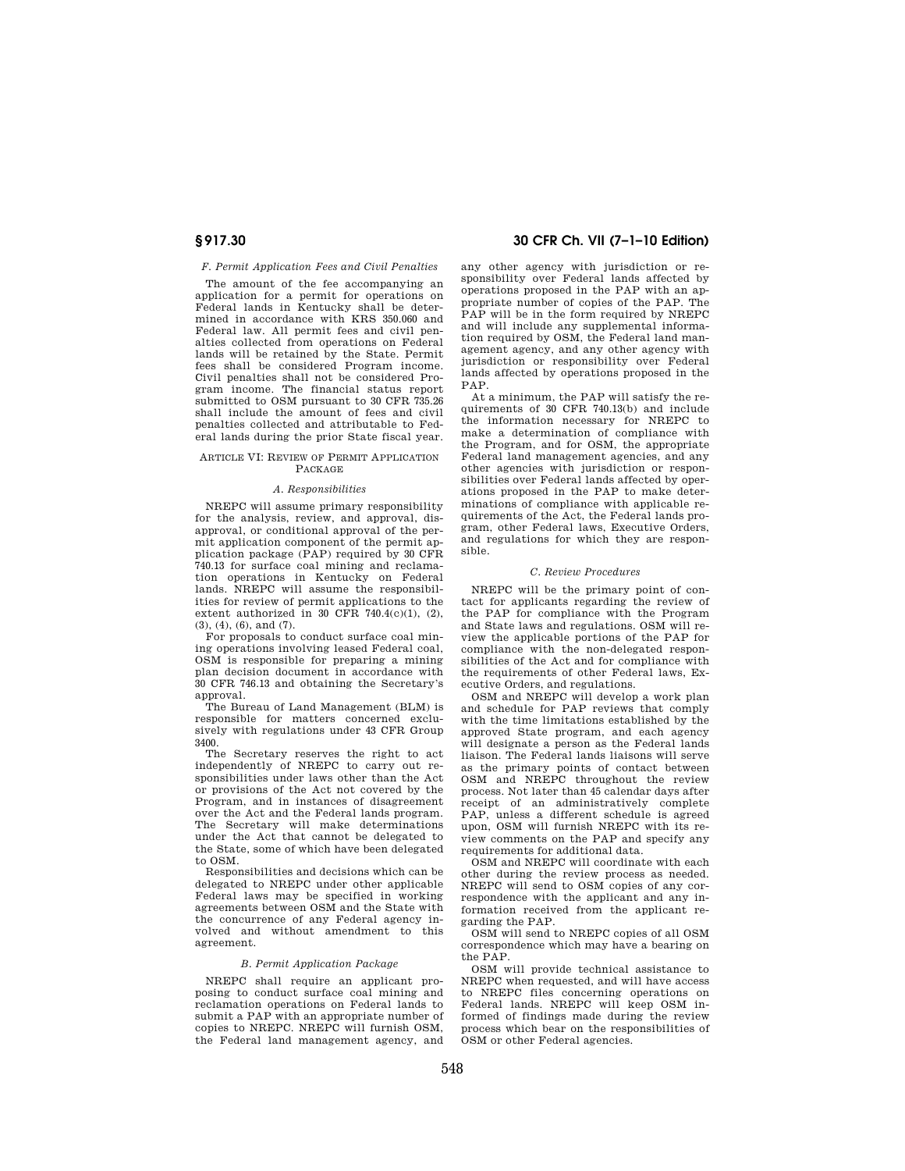#### *F. Permit Application Fees and Civil Penalties*

The amount of the fee accompanying an application for a permit for operations on Federal lands in Kentucky shall be determined in accordance with KRS 350.060 and Federal law. All permit fees and civil penalties collected from operations on Federal lands will be retained by the State. Permit fees shall be considered Program income. Civil penalties shall not be considered Program income. The financial status report submitted to OSM pursuant to 30 CFR 735.26 shall include the amount of fees and civil penalties collected and attributable to Federal lands during the prior State fiscal year.

## ARTICLE VI: REVIEW OF PERMIT APPLICATION PACKAGE

### *A. Responsibilities*

NREPC will assume primary responsibility for the analysis, review, and approval, disapproval, or conditional approval of the permit application component of the permit application package (PAP) required by 30 CFR 740.13 for surface coal mining and reclamation operations in Kentucky on Federal lands. NREPC will assume the responsibilities for review of permit applications to the extent authorized in 30 CFR 740.4 $(c)(1)$ ,  $(2)$ , (3), (4), (6), and (7).

For proposals to conduct surface coal mining operations involving leased Federal coal, OSM is responsible for preparing a mining plan decision document in accordance with 30 CFR 746.13 and obtaining the Secretary's approval.

The Bureau of Land Management (BLM) is responsible for matters concerned exclusively with regulations under 43 CFR Group 3400.

The Secretary reserves the right to act independently of NREPC to carry out responsibilities under laws other than the Act or provisions of the Act not covered by the Program, and in instances of disagreement over the Act and the Federal lands program. The Secretary will make determinations under the Act that cannot be delegated to the State, some of which have been delegated to OSM.

Responsibilities and decisions which can be delegated to NREPC under other applicable Federal laws may be specified in working agreements between OSM and the State with the concurrence of any Federal agency involved and without amendment to this agreement.

#### *B. Permit Application Package*

NREPC shall require an applicant proposing to conduct surface coal mining and reclamation operations on Federal lands to submit a PAP with an appropriate number of copies to NREPC. NREPC will furnish OSM, the Federal land management agency, and

# **§ 917.30 30 CFR Ch. VII (7–1–10 Edition)**

any other agency with jurisdiction or responsibility over Federal lands affected by operations proposed in the PAP with an appropriate number of copies of the PAP. The PAP will be in the form required by NREPC and will include any supplemental information required by OSM, the Federal land management agency, and any other agency with jurisdiction or responsibility over Federal lands affected by operations proposed in the PAP.

At a minimum, the PAP will satisfy the requirements of 30 CFR 740.13(b) and include the information necessary for NREPC to make a determination of compliance with the Program, and for OSM, the appropriate Federal land management agencies, and any other agencies with jurisdiction or responsibilities over Federal lands affected by operations proposed in the PAP to make determinations of compliance with applicable requirements of the Act, the Federal lands program, other Federal laws, Executive Orders, and regulations for which they are responsible.

#### *C. Review Procedures*

NREPC will be the primary point of contact for applicants regarding the review of the PAP for compliance with the Program and State laws and regulations. OSM will review the applicable portions of the PAP for compliance with the non-delegated responsibilities of the Act and for compliance with the requirements of other Federal laws, Executive Orders, and regulations.

OSM and NREPC will develop a work plan and schedule for PAP reviews that comply with the time limitations established by the approved State program, and each agency will designate a person as the Federal lands liaison. The Federal lands liaisons will serve as the primary points of contact between OSM and NREPC throughout the review process. Not later than 45 calendar days after receipt of an administratively complete PAP, unless a different schedule is agreed upon, OSM will furnish NREPC with its review comments on the PAP and specify any requirements for additional data.

OSM and NREPC will coordinate with each other during the review process as needed. NREPC will send to OSM copies of any correspondence with the applicant and any information received from the applicant regarding the PAP.

OSM will send to NREPC copies of all OSM correspondence which may have a bearing on the PAP.

OSM will provide technical assistance to NREPC when requested, and will have access to NREPC files concerning operations on Federal lands. NREPC will keep OSM informed of findings made during the review process which bear on the responsibilities of OSM or other Federal agencies.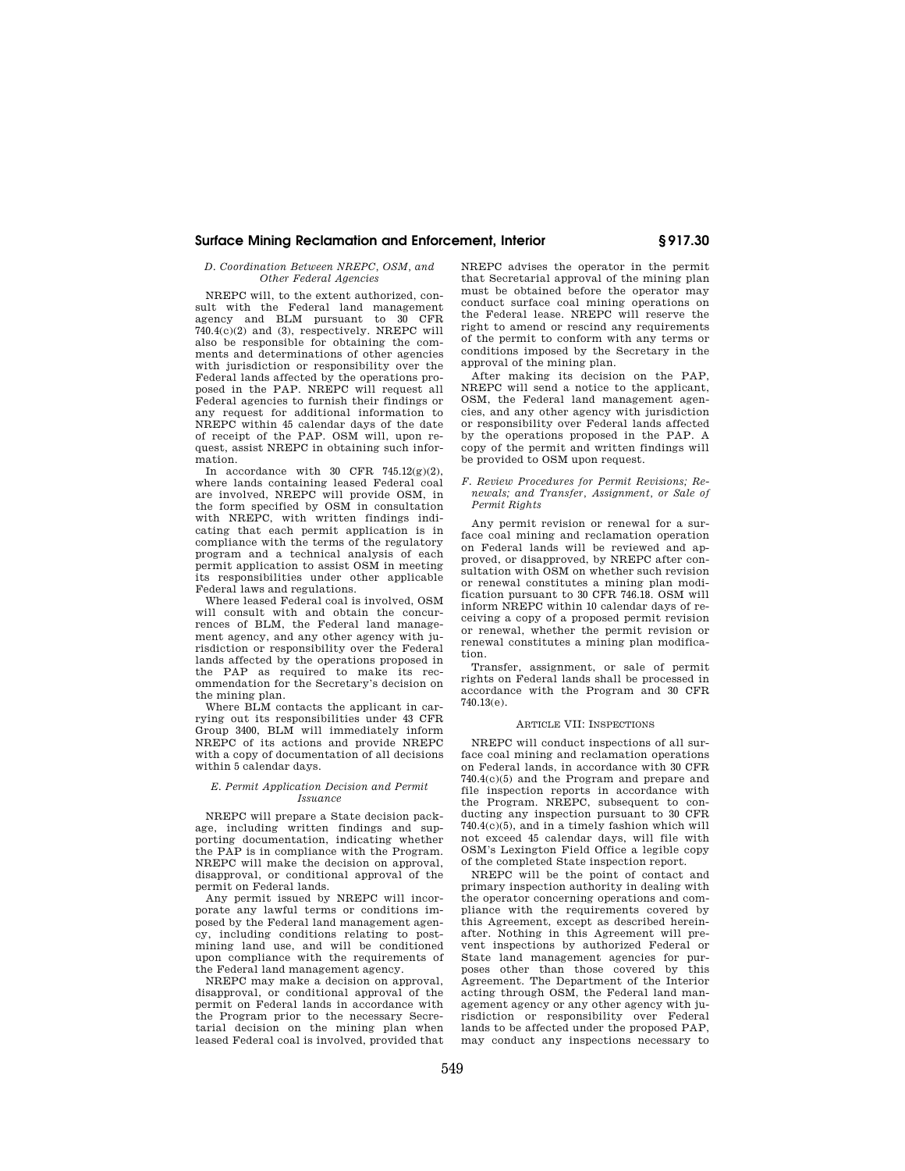## **Surface Mining Reclamation and Enforcement, Interior § 917.30**

## *D. Coordination Between NREPC, OSM, and Other Federal Agencies*

NREPC will, to the extent authorized, consult with the Federal land management agency and BLM pursuant to 30 CFR 740.4(c)(2) and (3), respectively. NREPC will also be responsible for obtaining the comments and determinations of other agencies with jurisdiction or responsibility over the Federal lands affected by the operations proposed in the PAP. NREPC will request all Federal agencies to furnish their findings or any request for additional information to NREPC within 45 calendar days of the date of receipt of the PAP. OSM will, upon request, assist NREPC in obtaining such information.

In accordance with 30 CFR  $745.12(g)(2)$ , where lands containing leased Federal coal are involved, NREPC will provide OSM, in the form specified by OSM in consultation with NREPC, with written findings indicating that each permit application is in compliance with the terms of the regulatory program and a technical analysis of each permit application to assist OSM in meeting its responsibilities under other applicable Federal laws and regulations.

Where leased Federal coal is involved, OSM will consult with and obtain the concurrences of BLM, the Federal land management agency, and any other agency with jurisdiction or responsibility over the Federal lands affected by the operations proposed in the PAP as required to make its recommendation for the Secretary's decision on the mining plan.

Where BLM contacts the applicant in carrying out its responsibilities under 43 CFR Group 3400, BLM will immediately inform NREPC of its actions and provide NREPC with a copy of documentation of all decisions within 5 calendar days.

#### *E. Permit Application Decision and Permit Issuance*

NREPC will prepare a State decision package, including written findings and supporting documentation, indicating whether the PAP is in compliance with the Program. NREPC will make the decision on approval, disapproval, or conditional approval of the permit on Federal lands.

Any permit issued by NREPC will incorporate any lawful terms or conditions imposed by the Federal land management agency, including conditions relating to postmining land use, and will be conditioned upon compliance with the requirements of the Federal land management agency.

NREPC may make a decision on approval, disapproval, or conditional approval of the permit on Federal lands in accordance with the Program prior to the necessary Secretarial decision on the mining plan when leased Federal coal is involved, provided that

NREPC advises the operator in the permit that Secretarial approval of the mining plan must be obtained before the operator may conduct surface coal mining operations on the Federal lease. NREPC will reserve the right to amend or rescind any requirements of the permit to conform with any terms or conditions imposed by the Secretary in the approval of the mining plan.

After making its decision on the PAP, NREPC will send a notice to the applicant, OSM, the Federal land management agencies, and any other agency with jurisdiction or responsibility over Federal lands affected by the operations proposed in the PAP. A copy of the permit and written findings will be provided to OSM upon request.

## *F. Review Procedures for Permit Revisions; Renewals; and Transfer, Assignment, or Sale of Permit Rights*

Any permit revision or renewal for a surface coal mining and reclamation operation on Federal lands will be reviewed and approved, or disapproved, by NREPC after consultation with OSM on whether such revision or renewal constitutes a mining plan modification pursuant to 30 CFR 746.18. OSM will inform NREPC within 10 calendar days of receiving a copy of a proposed permit revision or renewal, whether the permit revision or renewal constitutes a mining plan modification.

Transfer, assignment, or sale of permit rights on Federal lands shall be processed in accordance with the Program and 30 CFR 740.13(e).

### ARTICLE VII: INSPECTIONS

NREPC will conduct inspections of all surface coal mining and reclamation operations on Federal lands, in accordance with 30 CFR 740.4(c)(5) and the Program and prepare and file inspection reports in accordance with the Program. NREPC, subsequent to conducting any inspection pursuant to 30 CFR 740.4(c)(5), and in a timely fashion which will not exceed 45 calendar days, will file with OSM's Lexington Field Office a legible copy of the completed State inspection report.

NREPC will be the point of contact and primary inspection authority in dealing with the operator concerning operations and compliance with the requirements covered by this Agreement, except as described hereinafter. Nothing in this Agreement will prevent inspections by authorized Federal or State land management agencies for purposes other than those covered by this Agreement. The Department of the Interior acting through OSM, the Federal land management agency or any other agency with jurisdiction or responsibility over Federal lands to be affected under the proposed PAP, may conduct any inspections necessary to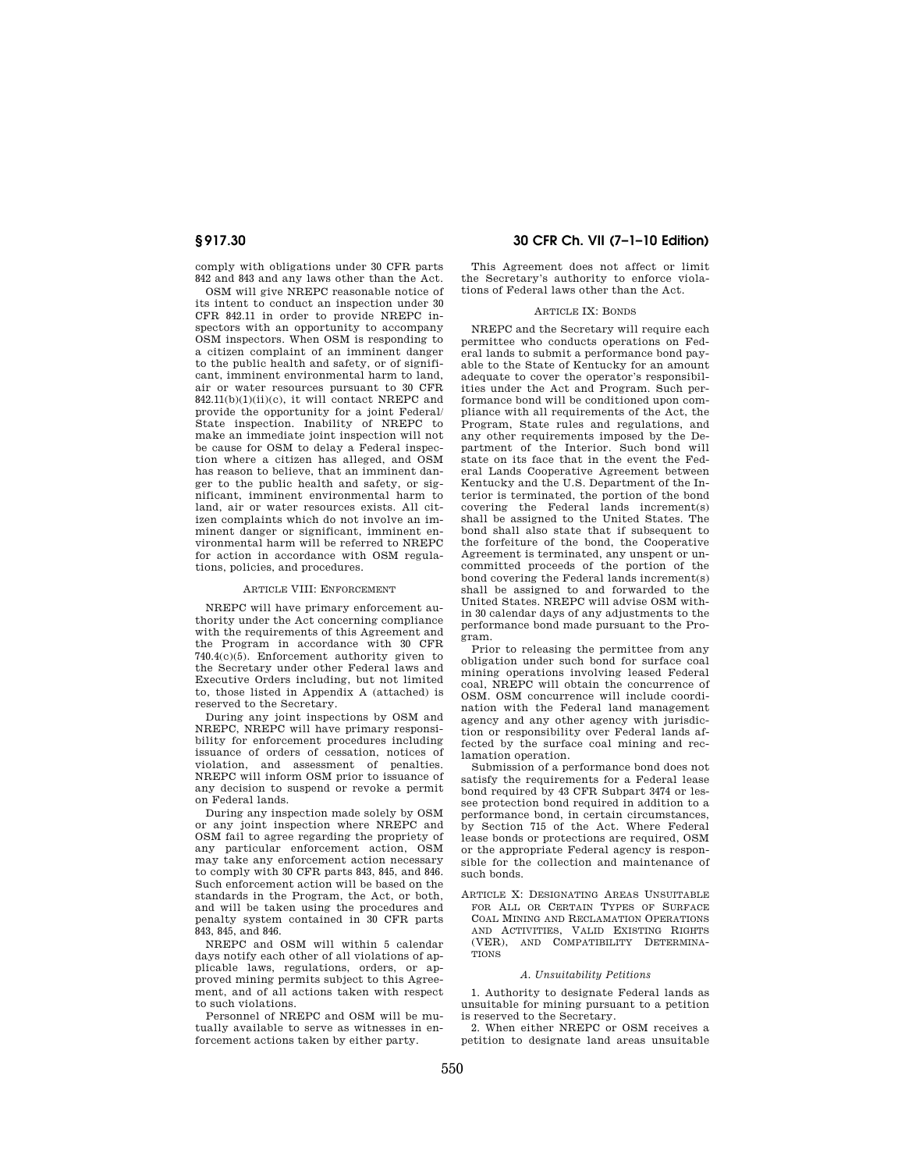comply with obligations under 30 CFR parts 842 and 843 and any laws other than the Act.

OSM will give NREPC reasonable notice of its intent to conduct an inspection under 30 CFR 842.11 in order to provide NREPC inspectors with an opportunity to accompany OSM inspectors. When OSM is responding to a citizen complaint of an imminent danger to the public health and safety, or of significant, imminent environmental harm to land, air or water resources pursuant to 30 CFR 842.11(b)(1)(ii)(c), it will contact NREPC and provide the opportunity for a joint Federal/ State inspection. Inability of NREPC to make an immediate joint inspection will not be cause for OSM to delay a Federal inspection where a citizen has alleged, and OSM has reason to believe, that an imminent danger to the public health and safety, or significant, imminent environmental harm to land, air or water resources exists. All citizen complaints which do not involve an imminent danger or significant, imminent environmental harm will be referred to NREPC for action in accordance with OSM regulations, policies, and procedures.

#### ARTICLE VIII: ENFORCEMENT

NREPC will have primary enforcement authority under the Act concerning compliance with the requirements of this Agreement and the Program in accordance with 30 CFR  $740.4(c)(5)$ . Enforcement authority given to the Secretary under other Federal laws and Executive Orders including, but not limited to, those listed in Appendix A (attached) is reserved to the Secretary.

During any joint inspections by OSM and NREPC, NREPC will have primary responsibility for enforcement procedures including issuance of orders of cessation, notices of violation, and assessment of penalties. NREPC will inform OSM prior to issuance of any decision to suspend or revoke a permit on Federal lands.

During any inspection made solely by OSM or any joint inspection where NREPC and OSM fail to agree regarding the propriety of any particular enforcement action, OSM may take any enforcement action necessary to comply with 30 CFR parts 843, 845, and 846. Such enforcement action will be based on the standards in the Program, the Act, or both, and will be taken using the procedures and penalty system contained in 30 CFR parts 843, 845, and 846.

NREPC and OSM will within 5 calendar days notify each other of all violations of applicable laws, regulations, orders, or approved mining permits subject to this Agreement, and of all actions taken with respect to such violations.

Personnel of NREPC and OSM will be mutually available to serve as witnesses in enforcement actions taken by either party.

# **§ 917.30 30 CFR Ch. VII (7–1–10 Edition)**

This Agreement does not affect or limit the Secretary's authority to enforce violations of Federal laws other than the Act.

#### ARTICLE IX: BONDS

NREPC and the Secretary will require each permittee who conducts operations on Federal lands to submit a performance bond payable to the State of Kentucky for an amount adequate to cover the operator's responsibilities under the Act and Program. Such performance bond will be conditioned upon compliance with all requirements of the Act, the Program, State rules and regulations, and any other requirements imposed by the Department of the Interior. Such bond will state on its face that in the event the Federal Lands Cooperative Agreement between Kentucky and the U.S. Department of the Interior is terminated, the portion of the bond covering the Federal lands increment(s) shall be assigned to the United States. The bond shall also state that if subsequent to the forfeiture of the bond, the Cooperative Agreement is terminated, any unspent or uncommitted proceeds of the portion of the bond covering the Federal lands increment(s) shall be assigned to and forwarded to the United States. NREPC will advise OSM within 30 calendar days of any adjustments to the performance bond made pursuant to the Program.

Prior to releasing the permittee from any obligation under such bond for surface coal mining operations involving leased Federal coal, NREPC will obtain the concurrence of OSM. OSM concurrence will include coordination with the Federal land management agency and any other agency with jurisdiction or responsibility over Federal lands affected by the surface coal mining and reclamation operation.

Submission of a performance bond does not satisfy the requirements for a Federal lease bond required by 43 CFR Subpart 3474 or lessee protection bond required in addition to a performance bond, in certain circumstances, by Section 715 of the Act. Where Federal lease bonds or protections are required, OSM or the appropriate Federal agency is responsible for the collection and maintenance of such bonds.

ARTICLE X: DESIGNATING AREAS UNSUITABLE FOR ALL OR CERTAIN TYPES OF SURFACE COAL MINING AND RECLAMATION OPERATIONS AND ACTIVITIES, VALID EXISTING RIGHTS (VER), AND COMPATIBILITY DETERMINA-**TIONS** 

### *A. Unsuitability Petitions*

1. Authority to designate Federal lands as unsuitable for mining pursuant to a petition is reserved to the Secretary.

2. When either NREPC or OSM receives a petition to designate land areas unsuitable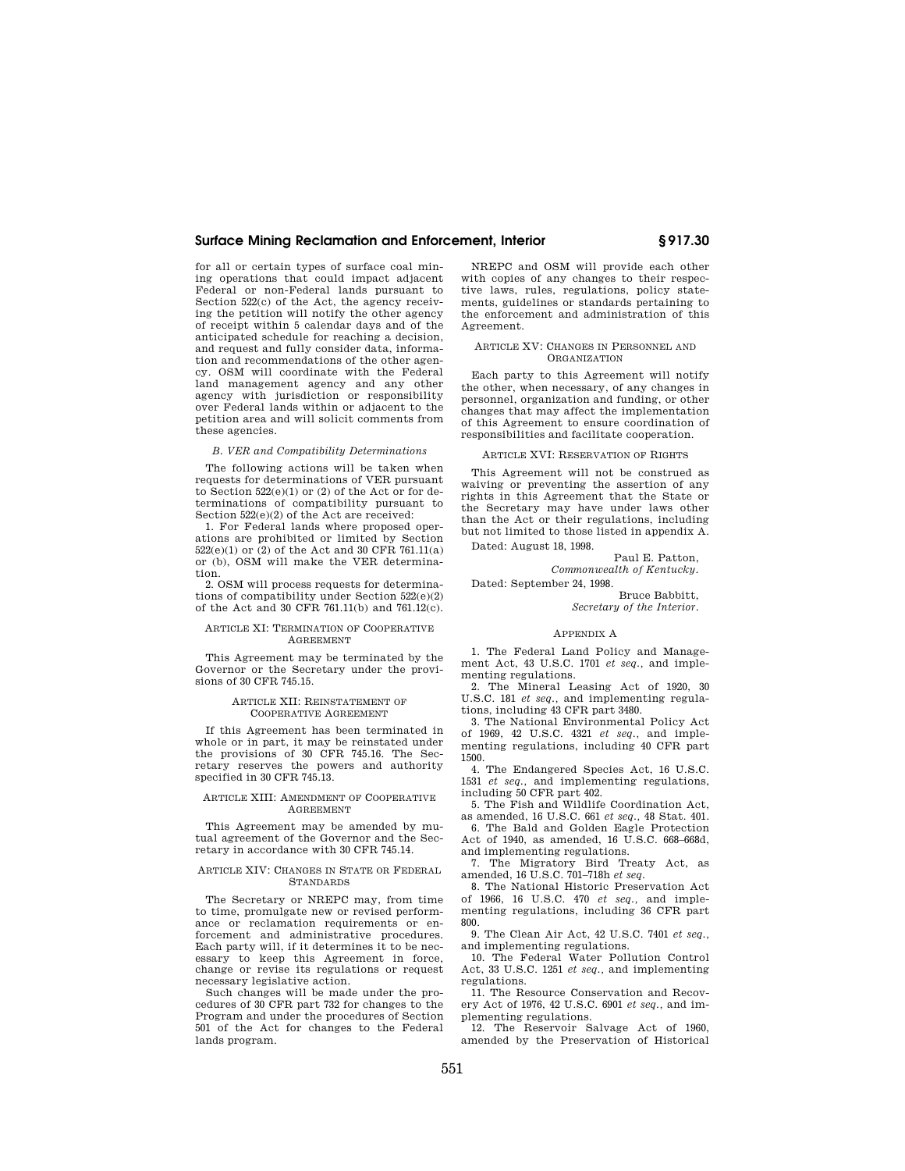## **Surface Mining Reclamation and Enforcement, Interior § 917.30**

for all or certain types of surface coal mining operations that could impact adjacent Federal or non-Federal lands pursuant to Section 522(c) of the Act, the agency receiving the petition will notify the other agency of receipt within 5 calendar days and of the anticipated schedule for reaching a decision, and request and fully consider data, information and recommendations of the other agency. OSM will coordinate with the Federal land management agency and any other agency with jurisdiction or responsibility over Federal lands within or adjacent to the petition area and will solicit comments from these agencies.

#### *B. VER and Compatibility Determinations*

The following actions will be taken when requests for determinations of VER pursuant to Section 522(e)(1) or (2) of the Act or for determinations of compatibility pursuant to Section 522(e)(2) of the Act are received:

1. For Federal lands where proposed operations are prohibited or limited by Section 522(e)(1) or (2) of the Act and 30 CFR 761.11(a) or (b), OSM will make the VER determination.

2. OSM will process requests for determinations of compatibility under Section 522(e)(2) of the Act and 30 CFR 761.11(b) and 761.12(c).

## ARTICLE XI: TERMINATION OF COOPERATIVE AGREEMENT

This Agreement may be terminated by the Governor or the Secretary under the provisions of 30 CFR 745.15.

#### ARTICLE XII: REINSTATEMENT OF COOPERATIVE AGREEMENT

If this Agreement has been terminated in whole or in part, it may be reinstated under the provisions of 30 CFR 745.16. The Secretary reserves the powers and authority specified in 30 CFR 745.13.

#### ARTICLE XIII: AMENDMENT OF COOPERATIVE AGREEMENT

This Agreement may be amended by mutual agreement of the Governor and the Secretary in accordance with 30 CFR 745.14.

## ARTICLE XIV: CHANGES IN STATE OR FEDERAL STANDARDS

The Secretary or NREPC may, from time to time, promulgate new or revised performance or reclamation requirements or enforcement and administrative procedures. Each party will, if it determines it to be necessary to keep this Agreement in force, change or revise its regulations or request necessary legislative action.

Such changes will be made under the procedures of 30 CFR part 732 for changes to the Program and under the procedures of Section 501 of the Act for changes to the Federal lands program.

NREPC and OSM will provide each other with copies of any changes to their respective laws, rules, regulations, policy statements, guidelines or standards pertaining to the enforcement and administration of this Agreement.

#### ARTICLE XV: CHANGES IN PERSONNEL AND **ORGANIZATION**

Each party to this Agreement will notify the other, when necessary, of any changes in personnel, organization and funding, or other changes that may affect the implementation of this Agreement to ensure coordination of responsibilities and facilitate cooperation.

### ARTICLE XVI: RESERVATION OF RIGHTS

This Agreement will not be construed as waiving or preventing the assertion of any rights in this Agreement that the State or the Secretary may have under laws other than the Act or their regulations, including but not limited to those listed in appendix A. Dated: August 18, 1998.

Paul E. Patton, *Commonwealth of Kentucky.* 

Dated: September 24, 1998.

Bruce Babbitt, *Secretary of the Interior.* 

#### APPENDIX A

1. The Federal Land Policy and Management Act, 43 U.S.C. 1701 *et seq.,* and implementing regulations.

2. The Mineral Leasing Act of 1920, 30 U.S.C. 181 *et seq.,* and implementing regulations, including 43 CFR part 3480.

3. The National Environmental Policy Act of 1969, 42 U.S.C. 4321 *et seq.,* and implementing regulations, including 40 CFR part 1500.

4. The Endangered Species Act, 16 U.S.C. 1531 *et seq.,* and implementing regulations, including 50 CFR part 402.

5. The Fish and Wildlife Coordination Act, as amended, 16 U.S.C. 661 *et seq.,* 48 Stat. 401.

6. The Bald and Golden Eagle Protection Act of 1940, as amended, 16 U.S.C. 668–668d, and implementing regulations.

7. The Migratory Bird Treaty Act, as amended, 16 U.S.C. 701–718h *et seq.* 

8. The National Historic Preservation Act of 1966, 16 U.S.C. 470 *et seq.,* and implementing regulations, including 36 CFR part 800.

9. The Clean Air Act, 42 U.S.C. 7401 *et seq.,*  and implementing regulations.

10. The Federal Water Pollution Control Act, 33 U.S.C. 1251 *et seq.,* and implementing regulations.

11. The Resource Conservation and Recovery Act of 1976, 42 U.S.C. 6901 *et seq.,* and implementing regulations.

12. The Reservoir Salvage Act of 1960, amended by the Preservation of Historical